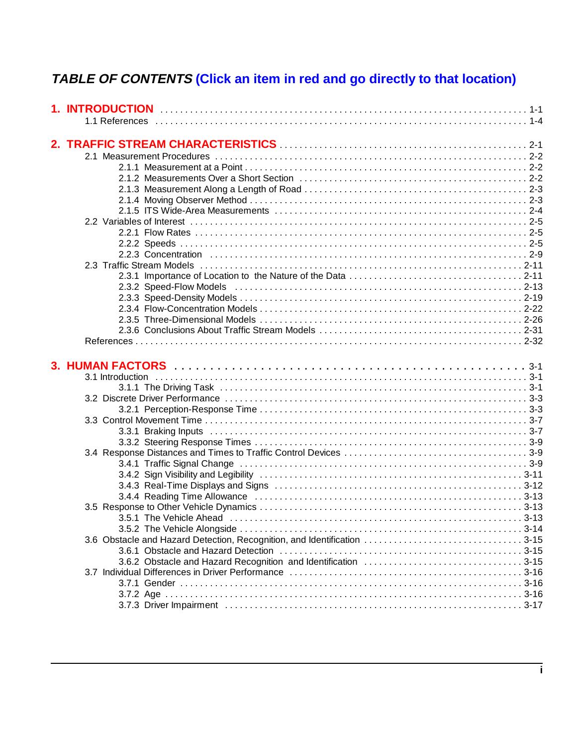# **TABLE OF CONTENTS (Click an item in red and go directly to that location)**

| 2. TRAFFIC STREAM CHARACTERISTICS <b>Manual Character Control Control Caret Caret Caret Control Caret Caret Caret Caret Caret Caret Caret Caret Caret Caret Caret Caret Caret Caret Caret Caret Caret Caret Caret Caret Caret Ca</b> |  |
|--------------------------------------------------------------------------------------------------------------------------------------------------------------------------------------------------------------------------------------|--|
|                                                                                                                                                                                                                                      |  |
|                                                                                                                                                                                                                                      |  |
|                                                                                                                                                                                                                                      |  |
|                                                                                                                                                                                                                                      |  |
|                                                                                                                                                                                                                                      |  |
|                                                                                                                                                                                                                                      |  |
|                                                                                                                                                                                                                                      |  |
|                                                                                                                                                                                                                                      |  |
|                                                                                                                                                                                                                                      |  |
|                                                                                                                                                                                                                                      |  |
|                                                                                                                                                                                                                                      |  |
|                                                                                                                                                                                                                                      |  |
|                                                                                                                                                                                                                                      |  |
|                                                                                                                                                                                                                                      |  |
|                                                                                                                                                                                                                                      |  |
|                                                                                                                                                                                                                                      |  |
|                                                                                                                                                                                                                                      |  |
|                                                                                                                                                                                                                                      |  |
|                                                                                                                                                                                                                                      |  |
|                                                                                                                                                                                                                                      |  |
|                                                                                                                                                                                                                                      |  |
|                                                                                                                                                                                                                                      |  |
|                                                                                                                                                                                                                                      |  |
|                                                                                                                                                                                                                                      |  |
|                                                                                                                                                                                                                                      |  |
|                                                                                                                                                                                                                                      |  |
|                                                                                                                                                                                                                                      |  |
|                                                                                                                                                                                                                                      |  |
|                                                                                                                                                                                                                                      |  |
|                                                                                                                                                                                                                                      |  |
|                                                                                                                                                                                                                                      |  |
|                                                                                                                                                                                                                                      |  |
|                                                                                                                                                                                                                                      |  |
|                                                                                                                                                                                                                                      |  |
|                                                                                                                                                                                                                                      |  |
|                                                                                                                                                                                                                                      |  |
| 3.6.1 Obstacle and Hazard Detection (and according contained a state of the 3-15                                                                                                                                                     |  |
|                                                                                                                                                                                                                                      |  |
|                                                                                                                                                                                                                                      |  |
|                                                                                                                                                                                                                                      |  |
|                                                                                                                                                                                                                                      |  |
|                                                                                                                                                                                                                                      |  |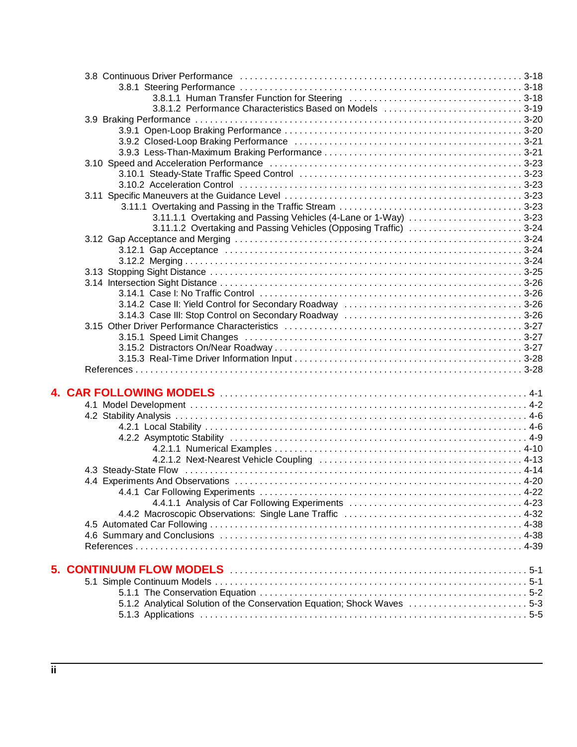| 3.8.1.2 Performance Characteristics Based on Models 3-19                 |  |
|--------------------------------------------------------------------------|--|
|                                                                          |  |
|                                                                          |  |
|                                                                          |  |
|                                                                          |  |
|                                                                          |  |
|                                                                          |  |
|                                                                          |  |
|                                                                          |  |
|                                                                          |  |
| 3.11.1.1 Overtaking and Passing Vehicles (4-Lane or 1-Way) 3-23          |  |
| 3.11.1.2 Overtaking and Passing Vehicles (Opposing Traffic) 3-24         |  |
|                                                                          |  |
|                                                                          |  |
|                                                                          |  |
|                                                                          |  |
|                                                                          |  |
|                                                                          |  |
|                                                                          |  |
|                                                                          |  |
|                                                                          |  |
|                                                                          |  |
|                                                                          |  |
|                                                                          |  |
|                                                                          |  |
|                                                                          |  |
|                                                                          |  |
|                                                                          |  |
|                                                                          |  |
|                                                                          |  |
|                                                                          |  |
|                                                                          |  |
|                                                                          |  |
|                                                                          |  |
|                                                                          |  |
|                                                                          |  |
|                                                                          |  |
|                                                                          |  |
|                                                                          |  |
|                                                                          |  |
|                                                                          |  |
|                                                                          |  |
|                                                                          |  |
|                                                                          |  |
|                                                                          |  |
|                                                                          |  |
| 5.1.2 Analytical Solution of the Conservation Equation; Shock Waves  5-3 |  |
|                                                                          |  |
|                                                                          |  |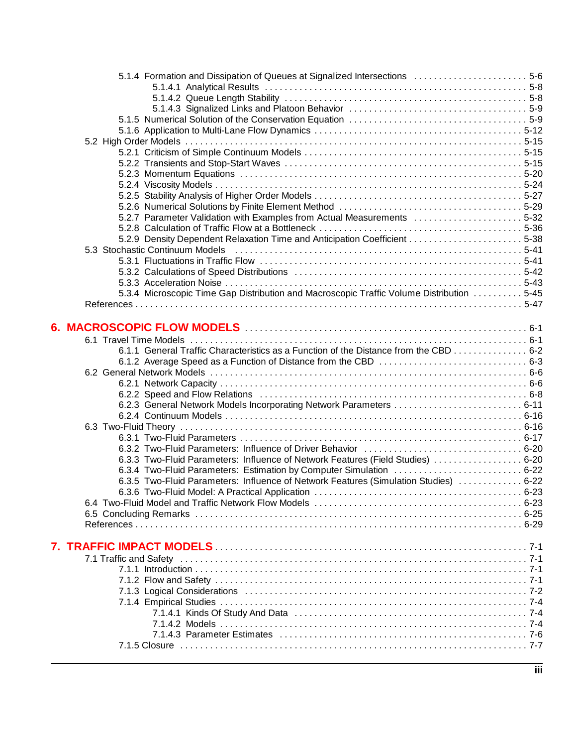| 5.1.4 Formation and Dissipation of Queues at Signalized Intersections  5-6               |  |
|------------------------------------------------------------------------------------------|--|
|                                                                                          |  |
|                                                                                          |  |
|                                                                                          |  |
|                                                                                          |  |
|                                                                                          |  |
|                                                                                          |  |
|                                                                                          |  |
|                                                                                          |  |
|                                                                                          |  |
|                                                                                          |  |
|                                                                                          |  |
| 5.2.7 Parameter Validation with Examples from Actual Measurements 5-32                   |  |
|                                                                                          |  |
|                                                                                          |  |
|                                                                                          |  |
|                                                                                          |  |
|                                                                                          |  |
|                                                                                          |  |
| 5.3.4 Microscopic Time Gap Distribution and Macroscopic Traffic Volume Distribution 5-45 |  |
|                                                                                          |  |
|                                                                                          |  |
|                                                                                          |  |
|                                                                                          |  |
| 6.1.1 General Traffic Characteristics as a Function of the Distance from the CBD 6-2     |  |
|                                                                                          |  |
|                                                                                          |  |
|                                                                                          |  |
|                                                                                          |  |
| 6.2.3 General Network Models Incorporating Network Parameters  6-11                      |  |
|                                                                                          |  |
|                                                                                          |  |
|                                                                                          |  |
|                                                                                          |  |
| 6.3.3 Two-Fluid Parameters: Influence of Network Features (Field Studies)  6-20          |  |
| 6.3.4 Two-Fluid Parameters: Estimation by Computer Simulation  6-22                      |  |
| 6.3.5 Two-Fluid Parameters: Influence of Network Features (Simulation Studies)  6-22     |  |
|                                                                                          |  |
|                                                                                          |  |
|                                                                                          |  |
|                                                                                          |  |
|                                                                                          |  |
|                                                                                          |  |
|                                                                                          |  |
|                                                                                          |  |
|                                                                                          |  |
|                                                                                          |  |
|                                                                                          |  |
|                                                                                          |  |
|                                                                                          |  |
|                                                                                          |  |
|                                                                                          |  |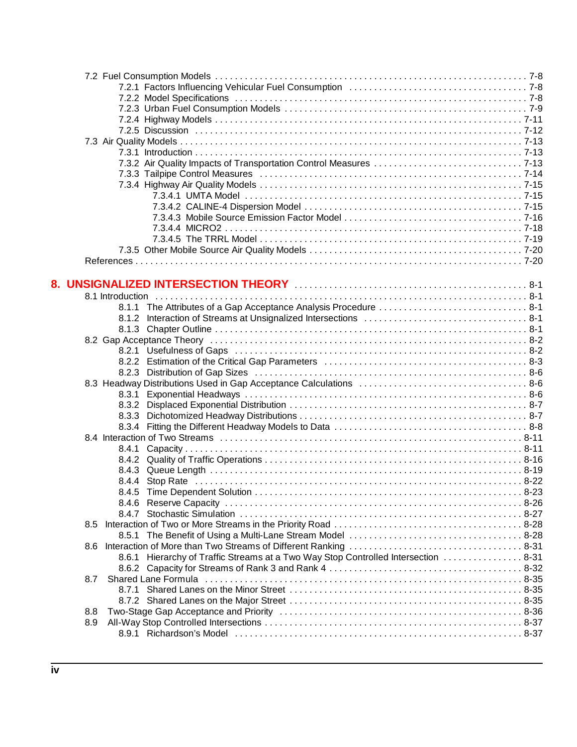|     | 8.3.3                                                                              |  |
|-----|------------------------------------------------------------------------------------|--|
|     |                                                                                    |  |
|     |                                                                                    |  |
|     | 8.4.1                                                                              |  |
|     |                                                                                    |  |
|     |                                                                                    |  |
|     |                                                                                    |  |
|     |                                                                                    |  |
|     |                                                                                    |  |
|     |                                                                                    |  |
| 8.5 |                                                                                    |  |
|     |                                                                                    |  |
| 8.6 |                                                                                    |  |
|     | 8.6.1 Hierarchy of Traffic Streams at a Two Way Stop Controlled Intersection  8-31 |  |
|     |                                                                                    |  |
| 8.7 |                                                                                    |  |
|     |                                                                                    |  |
|     |                                                                                    |  |
| 8.8 |                                                                                    |  |
| 8.9 |                                                                                    |  |
|     |                                                                                    |  |
|     |                                                                                    |  |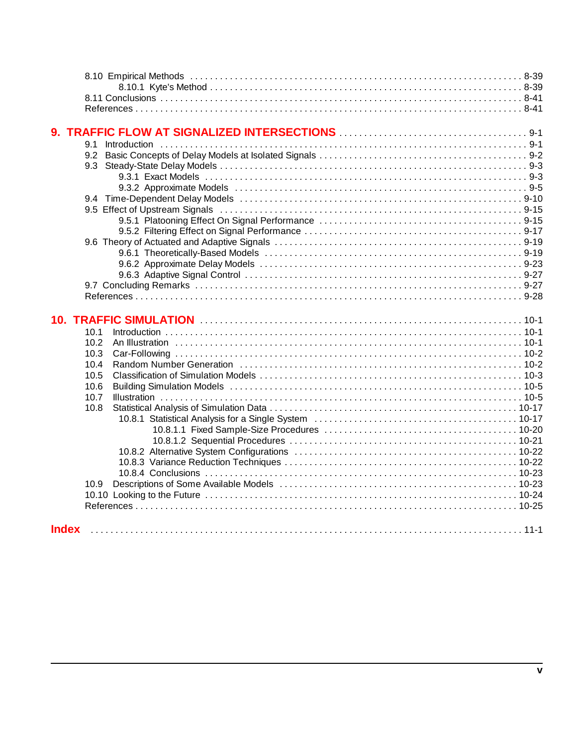| 9.1  |                                                                                                                |  |
|------|----------------------------------------------------------------------------------------------------------------|--|
| 9.2  |                                                                                                                |  |
| 9.3  |                                                                                                                |  |
|      |                                                                                                                |  |
|      |                                                                                                                |  |
|      |                                                                                                                |  |
|      |                                                                                                                |  |
|      |                                                                                                                |  |
|      |                                                                                                                |  |
|      |                                                                                                                |  |
|      |                                                                                                                |  |
|      |                                                                                                                |  |
|      |                                                                                                                |  |
|      |                                                                                                                |  |
|      |                                                                                                                |  |
|      |                                                                                                                |  |
|      |                                                                                                                |  |
|      | 10. TRAFFIC SIMULATION <b>With Construction</b> 10-1                                                           |  |
| 10.1 |                                                                                                                |  |
| 10.2 |                                                                                                                |  |
| 10.3 |                                                                                                                |  |
| 10.4 |                                                                                                                |  |
| 10.5 |                                                                                                                |  |
| 10.6 | Building Simulation Models (and according to the control of the control of the control of the control of the c |  |
| 10.7 |                                                                                                                |  |
| 10.8 |                                                                                                                |  |
|      |                                                                                                                |  |
|      |                                                                                                                |  |
|      |                                                                                                                |  |
|      |                                                                                                                |  |
|      |                                                                                                                |  |
|      |                                                                                                                |  |
| 10.9 |                                                                                                                |  |
|      |                                                                                                                |  |
|      |                                                                                                                |  |
|      |                                                                                                                |  |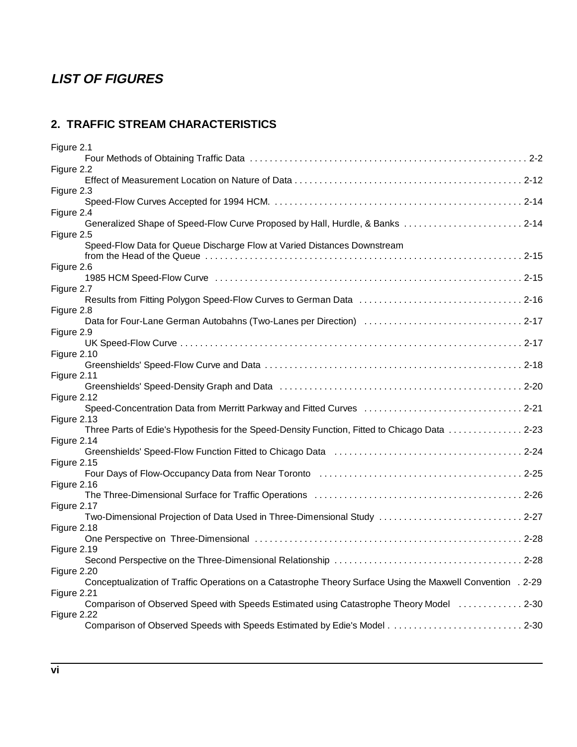# **LIST OF FIGURES**

### **2. TRAFFIC STREAM CHARACTERISTICS**

| Figure 2.1                                                                                                  |  |
|-------------------------------------------------------------------------------------------------------------|--|
|                                                                                                             |  |
| Figure 2.2                                                                                                  |  |
|                                                                                                             |  |
| Figure 2.3                                                                                                  |  |
|                                                                                                             |  |
| Figure 2.4<br>Generalized Shape of Speed-Flow Curve Proposed by Hall, Hurdle, & Banks  2-14                 |  |
| Figure 2.5                                                                                                  |  |
| Speed-Flow Data for Queue Discharge Flow at Varied Distances Downstream                                     |  |
|                                                                                                             |  |
| Figure 2.6                                                                                                  |  |
|                                                                                                             |  |
| Figure 2.7                                                                                                  |  |
|                                                                                                             |  |
| Figure 2.8                                                                                                  |  |
|                                                                                                             |  |
| Figure 2.9                                                                                                  |  |
|                                                                                                             |  |
| Figure 2.10                                                                                                 |  |
| Figure 2.11                                                                                                 |  |
| Greenshields' Speed-Density Graph and Data (and the content of the content of the content of 2-20           |  |
| Figure 2.12                                                                                                 |  |
| Speed-Concentration Data from Merritt Parkway and Fitted Curves  2-21                                       |  |
| Figure 2.13                                                                                                 |  |
| Three Parts of Edie's Hypothesis for the Speed-Density Function, Fitted to Chicago Data  2-23               |  |
| Figure 2.14                                                                                                 |  |
|                                                                                                             |  |
| Figure 2.15                                                                                                 |  |
|                                                                                                             |  |
| Figure 2.16                                                                                                 |  |
| Figure 2.17                                                                                                 |  |
| Two-Dimensional Projection of Data Used in Three-Dimensional Study  2-27                                    |  |
| Figure 2.18                                                                                                 |  |
|                                                                                                             |  |
| Figure 2.19                                                                                                 |  |
|                                                                                                             |  |
| Figure 2.20                                                                                                 |  |
| Conceptualization of Traffic Operations on a Catastrophe Theory Surface Using the Maxwell Convention . 2-29 |  |
| Figure 2.21                                                                                                 |  |
| Comparison of Observed Speed with Speeds Estimated using Catastrophe Theory Model  2-30                     |  |
| Figure 2.22                                                                                                 |  |
|                                                                                                             |  |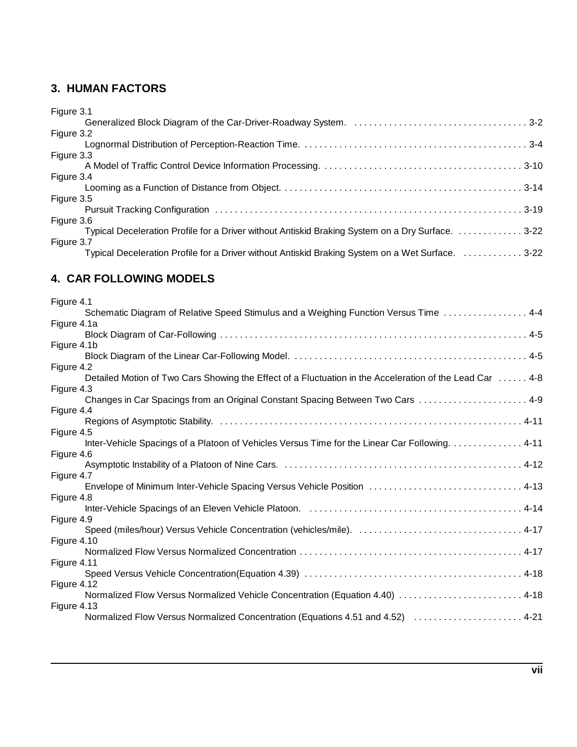#### **3. HUMAN FACTORS**

# **4. CAR FOLLOWING MODELS**

| Figure 4.1                                                                                                            |
|-----------------------------------------------------------------------------------------------------------------------|
| Schematic Diagram of Relative Speed Stimulus and a Weighing Function Versus Time  4-4                                 |
| Figure 4.1a                                                                                                           |
|                                                                                                                       |
| Figure 4.1b                                                                                                           |
|                                                                                                                       |
| Figure 4.2<br>Detailed Motion of Two Cars Showing the Effect of a Fluctuation in the Acceleration of the Lead Car 4-8 |
| Figure 4.3                                                                                                            |
| Changes in Car Spacings from an Original Constant Spacing Between Two Cars  4-9                                       |
| Figure 4.4                                                                                                            |
|                                                                                                                       |
| Figure 4.5                                                                                                            |
| Inter-Vehicle Spacings of a Platoon of Vehicles Versus Time for the Linear Car Following. 4-11                        |
| Figure 4.6                                                                                                            |
|                                                                                                                       |
| Figure 4.7                                                                                                            |
| Envelope of Minimum Inter-Vehicle Spacing Versus Vehicle Position  4-13                                               |
| Figure 4.8                                                                                                            |
| Figure 4.9                                                                                                            |
| Speed (miles/hour) Versus Vehicle Concentration (vehicles/mile).  4-17                                                |
| Figure 4.10                                                                                                           |
|                                                                                                                       |
| Figure 4.11                                                                                                           |
|                                                                                                                       |
| Figure 4.12                                                                                                           |
| Mormalized Flow Versus Normalized Vehicle Concentration (Equation 4.40)  4-18                                         |
| Figure 4.13                                                                                                           |
| Normalized Flow Versus Normalized Concentration (Equations 4.51 and 4.52) [10] Normalized Flow Versus A-21            |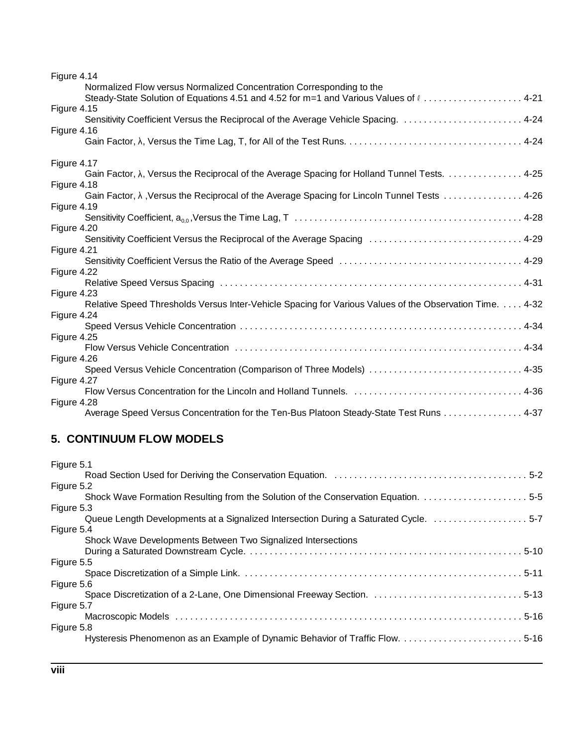| Figure 4.14 |                                                                                                         |
|-------------|---------------------------------------------------------------------------------------------------------|
|             | Normalized Flow versus Normalized Concentration Corresponding to the                                    |
|             | Steady-State Solution of Equations 4.51 and 4.52 for m=1 and Various Values of l 4-21                   |
| Figure 4.15 |                                                                                                         |
|             | Sensitivity Coefficient Versus the Reciprocal of the Average Vehicle Spacing.  4-24                     |
| Figure 4.16 |                                                                                                         |
|             |                                                                                                         |
| Figure 4.17 |                                                                                                         |
|             | Gain Factor, λ, Versus the Reciprocal of the Average Spacing for Holland Tunnel Tests. 4-25             |
| Figure 4.18 |                                                                                                         |
| Figure 4.19 | Gain Factor, λ, Versus the Reciprocal of the Average Spacing for Lincoln Tunnel Tests 4-26              |
|             |                                                                                                         |
| Figure 4.20 |                                                                                                         |
|             | Sensitivity Coefficient Versus the Reciprocal of the Average Spacing  4-29                              |
| Figure 4.21 |                                                                                                         |
|             |                                                                                                         |
| Figure 4.22 |                                                                                                         |
|             |                                                                                                         |
| Figure 4.23 |                                                                                                         |
|             | Relative Speed Thresholds Versus Inter-Vehicle Spacing for Various Values of the Observation Time. 4-32 |
| Figure 4.24 |                                                                                                         |
|             |                                                                                                         |
| Figure 4.25 |                                                                                                         |
|             |                                                                                                         |
| Figure 4.26 |                                                                                                         |
|             | Speed Versus Vehicle Concentration (Comparison of Three Models)  4-35                                   |
| Figure 4.27 |                                                                                                         |
|             |                                                                                                         |
| Figure 4.28 |                                                                                                         |
|             | Average Speed Versus Concentration for the Ten-Bus Platoon Steady-State Test Runs 4-37                  |

# **5. CONTINUUM FLOW MODELS**

| Figure 5.1                                                                           |
|--------------------------------------------------------------------------------------|
|                                                                                      |
| Figure 5.2                                                                           |
| Shock Wave Formation Resulting from the Solution of the Conservation Equation. 5-5   |
| Figure 5.3                                                                           |
| Queue Length Developments at a Signalized Intersection During a Saturated Cycle. 5-7 |
| Figure 5.4                                                                           |
| Shock Wave Developments Between Two Signalized Intersections                         |
|                                                                                      |
| Figure 5.5                                                                           |
|                                                                                      |
| Figure 5.6                                                                           |
| Space Discretization of a 2-Lane, One Dimensional Freeway Section.  5-13             |
| Figure 5.7                                                                           |
|                                                                                      |
| Figure 5.8                                                                           |
| Hysteresis Phenomenon as an Example of Dynamic Behavior of Traffic Flow.  5-16       |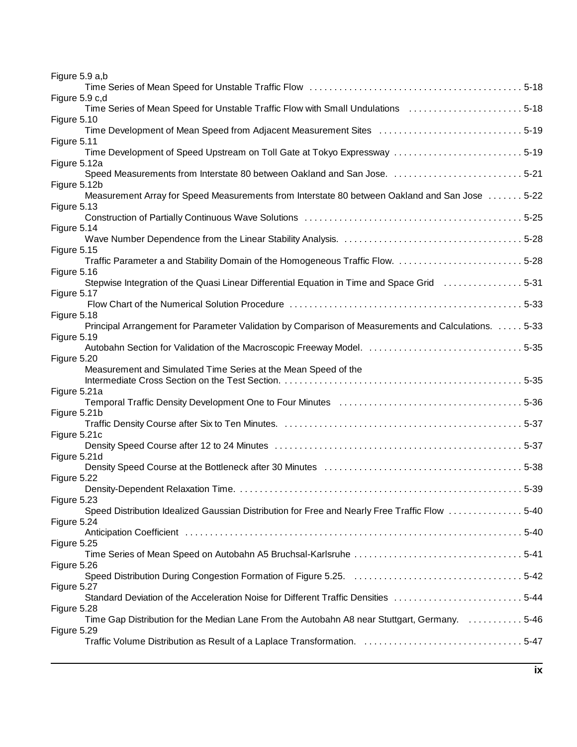| Figure 5.9 a,b                                                                                                          |  |
|-------------------------------------------------------------------------------------------------------------------------|--|
|                                                                                                                         |  |
| Figure 5.9 c,d                                                                                                          |  |
| Time Series of Mean Speed for Unstable Traffic Flow with Small Undulations 5-18                                         |  |
| Figure 5.10<br>Time Development of Mean Speed from Adjacent Measurement Sites 5-19                                      |  |
| Figure 5.11                                                                                                             |  |
| Time Development of Speed Upstream on Toll Gate at Tokyo Expressway 5-19                                                |  |
| Figure 5.12a                                                                                                            |  |
| Speed Measurements from Interstate 80 between Oakland and San Jose. 5-21                                                |  |
| Figure 5.12b                                                                                                            |  |
| Measurement Array for Speed Measurements from Interstate 80 between Oakland and San Jose  5-22                          |  |
| Figure 5.13                                                                                                             |  |
| Figure 5.14                                                                                                             |  |
|                                                                                                                         |  |
| Figure 5.15                                                                                                             |  |
|                                                                                                                         |  |
| Figure 5.16                                                                                                             |  |
| Stepwise Integration of the Quasi Linear Differential Equation in Time and Space Grid [1, 1, 1, 1, 1, 1, 1, 1, 1, 5-31] |  |
| Figure 5.17                                                                                                             |  |
| Figure 5.18                                                                                                             |  |
| Principal Arrangement for Parameter Validation by Comparison of Measurements and Calculations. 5-33                     |  |
| Figure 5.19                                                                                                             |  |
|                                                                                                                         |  |
| Figure 5.20                                                                                                             |  |
| Measurement and Simulated Time Series at the Mean Speed of the                                                          |  |
|                                                                                                                         |  |
| Figure 5.21a                                                                                                            |  |
| Figure 5.21b                                                                                                            |  |
|                                                                                                                         |  |
| Figure 5.21c                                                                                                            |  |
|                                                                                                                         |  |
| Figure 5.21d                                                                                                            |  |
|                                                                                                                         |  |
| Figure 5.22                                                                                                             |  |
|                                                                                                                         |  |
| Figure 5.23<br>Speed Distribution Idealized Gaussian Distribution for Free and Nearly Free Traffic Flow 5-40            |  |
| Figure 5.24                                                                                                             |  |
|                                                                                                                         |  |
| Figure 5.25                                                                                                             |  |
|                                                                                                                         |  |
| Figure 5.26                                                                                                             |  |
|                                                                                                                         |  |
| Figure 5.27<br>Standard Deviation of the Acceleration Noise for Different Traffic Densities 5-44                        |  |
| Figure 5.28                                                                                                             |  |
| Time Gap Distribution for the Median Lane From the Autobahn A8 near Stuttgart, Germany. 5-46                            |  |
| Figure 5.29                                                                                                             |  |
|                                                                                                                         |  |
|                                                                                                                         |  |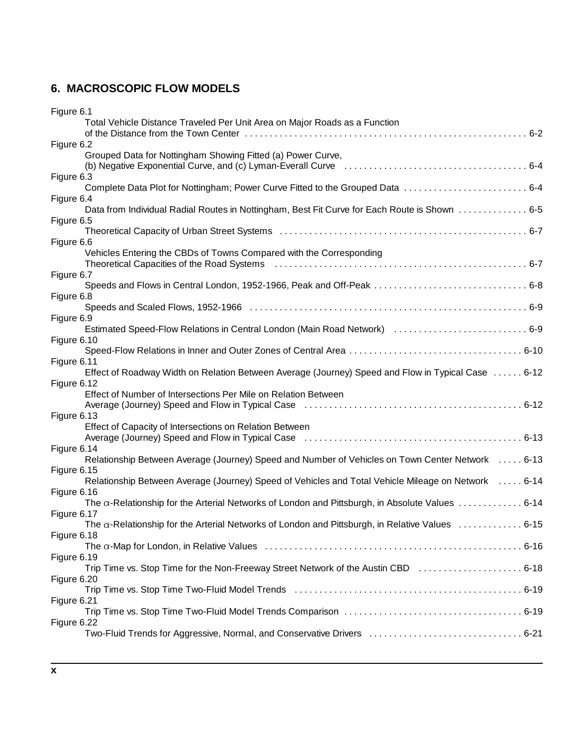# **6. MACROSCOPIC FLOW MODELS**

| Figure 6.1                                                                                                                                                                                                                                   |
|----------------------------------------------------------------------------------------------------------------------------------------------------------------------------------------------------------------------------------------------|
| Total Vehicle Distance Traveled Per Unit Area on Major Roads as a Function                                                                                                                                                                   |
|                                                                                                                                                                                                                                              |
| Figure 6.2                                                                                                                                                                                                                                   |
| Grouped Data for Nottingham Showing Fitted (a) Power Curve,                                                                                                                                                                                  |
| Figure 6.3                                                                                                                                                                                                                                   |
|                                                                                                                                                                                                                                              |
| Figure 6.4                                                                                                                                                                                                                                   |
| Data from Individual Radial Routes in Nottingham, Best Fit Curve for Each Route is Shown 6-5                                                                                                                                                 |
| Figure 6.5                                                                                                                                                                                                                                   |
| Theoretical Capacity of Urban Street Systems (and the content of the content of the S-7                                                                                                                                                      |
| Figure 6.6                                                                                                                                                                                                                                   |
| Vehicles Entering the CBDs of Towns Compared with the Corresponding                                                                                                                                                                          |
| Theoretical Capacities of the Road Systems (and contain the content of the Road Systems (6-7) and the Road Systems (6-7) and the content of the Road Systems (6-7) and the content of the Road Systems (6-7) and the content o<br>Figure 6.7 |
|                                                                                                                                                                                                                                              |
| Figure 6.8                                                                                                                                                                                                                                   |
|                                                                                                                                                                                                                                              |
| Figure 6.9                                                                                                                                                                                                                                   |
| Estimated Speed-Flow Relations in Central London (Main Road Network)  6-9                                                                                                                                                                    |
| Figure 6.10                                                                                                                                                                                                                                  |
|                                                                                                                                                                                                                                              |
| Figure 6.11<br>Effect of Roadway Width on Relation Between Average (Journey) Speed and Flow in Typical Case  6-12                                                                                                                            |
| Figure 6.12                                                                                                                                                                                                                                  |
| Effect of Number of Intersections Per Mile on Relation Between                                                                                                                                                                               |
|                                                                                                                                                                                                                                              |
| Figure 6.13                                                                                                                                                                                                                                  |
| Effect of Capacity of Intersections on Relation Between                                                                                                                                                                                      |
|                                                                                                                                                                                                                                              |
| Figure 6.14                                                                                                                                                                                                                                  |
| Relationship Between Average (Journey) Speed and Number of Vehicles on Town Center Network 6-13<br>Figure 6.15                                                                                                                               |
| Relationship Between Average (Journey) Speed of Vehicles and Total Vehicle Mileage on Network 6-14                                                                                                                                           |
| Figure 6.16                                                                                                                                                                                                                                  |
| The $\alpha$ -Relationship for the Arterial Networks of London and Pittsburgh, in Absolute Values  6-14                                                                                                                                      |
| Figure 6.17                                                                                                                                                                                                                                  |
| The $\alpha$ -Relationship for the Arterial Networks of London and Pittsburgh, in Relative Values  6-15                                                                                                                                      |
| Figure 6.18                                                                                                                                                                                                                                  |
|                                                                                                                                                                                                                                              |
| Figure 6.19<br>Trip Time vs. Stop Time for the Non-Freeway Street Network of the Austin CBD  6-18                                                                                                                                            |
| Figure 6.20                                                                                                                                                                                                                                  |
|                                                                                                                                                                                                                                              |
| Figure 6.21                                                                                                                                                                                                                                  |
|                                                                                                                                                                                                                                              |
| Figure 6.22                                                                                                                                                                                                                                  |
|                                                                                                                                                                                                                                              |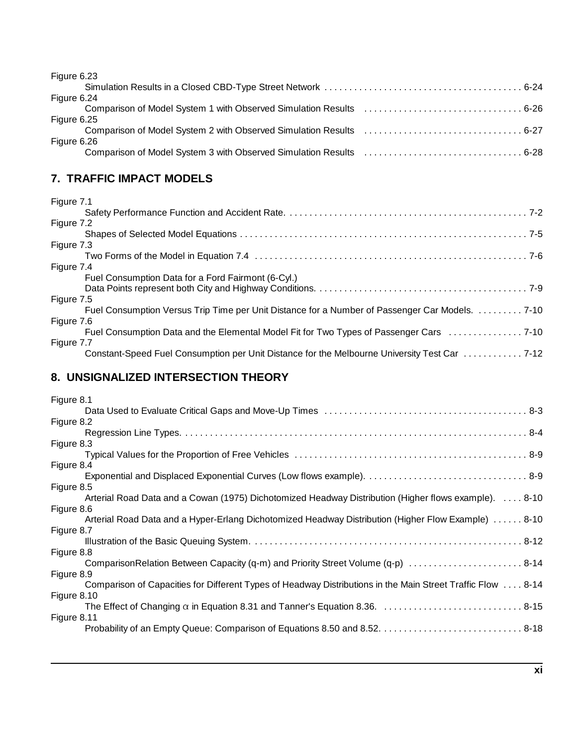Figure 6.23

| .199100101  |  |
|-------------|--|
|             |  |
| Figure 6.24 |  |
|             |  |
| Figure 6.25 |  |
|             |  |
| Figure 6.26 |  |
|             |  |
|             |  |

### **7. TRAFFIC IMPACT MODELS**

| Figure 7.1                                                                                     |
|------------------------------------------------------------------------------------------------|
|                                                                                                |
| Figure 7.2                                                                                     |
|                                                                                                |
| Figure 7.3                                                                                     |
|                                                                                                |
| Figure 7.4                                                                                     |
| Fuel Consumption Data for a Ford Fairmont (6-Cyl.)                                             |
|                                                                                                |
| Figure 7.5                                                                                     |
| Fuel Consumption Versus Trip Time per Unit Distance for a Number of Passenger Car Models. 7-10 |
| Figure 7.6                                                                                     |
|                                                                                                |
| Figure 7.7                                                                                     |
| Constant-Speed Fuel Consumption per Unit Distance for the Melbourne University Test Car  7-12  |

### **8. UNSIGNALIZED INTERSECTION THEORY**

| Figure 8.1  |                                                                                                             |
|-------------|-------------------------------------------------------------------------------------------------------------|
|             |                                                                                                             |
| Figure 8.2  |                                                                                                             |
|             |                                                                                                             |
| Figure 8.3  |                                                                                                             |
|             |                                                                                                             |
| Figure 8.4  |                                                                                                             |
|             |                                                                                                             |
| Figure 8.5  |                                                                                                             |
|             | Arterial Road Data and a Cowan (1975) Dichotomized Headway Distribution (Higher flows example). 8-10        |
| Figure 8.6  |                                                                                                             |
|             | Arterial Road Data and a Hyper-Erlang Dichotomized Headway Distribution (Higher Flow Example)  8-10         |
| Figure 8.7  |                                                                                                             |
|             |                                                                                                             |
| Figure 8.8  |                                                                                                             |
|             | Comparison Relation Between Capacity (q-m) and Priority Street Volume (q-p)  8-14                           |
| Figure 8.9  |                                                                                                             |
|             | Comparison of Capacities for Different Types of Headway Distributions in the Main Street Traffic Flow  8-14 |
| Figure 8.10 |                                                                                                             |
|             |                                                                                                             |
| Figure 8.11 |                                                                                                             |
|             |                                                                                                             |
|             |                                                                                                             |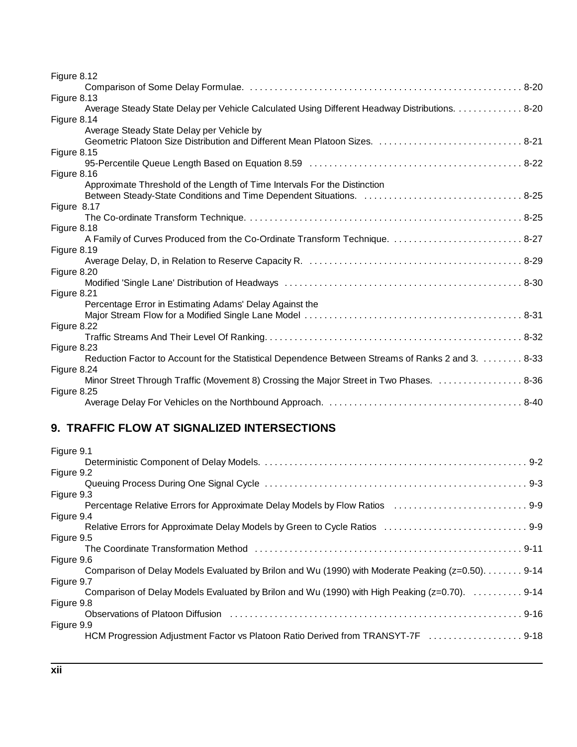| Figure 8.12                                                                                       |
|---------------------------------------------------------------------------------------------------|
|                                                                                                   |
| Figure 8.13                                                                                       |
| Average Steady State Delay per Vehicle Calculated Using Different Headway Distributions. 8-20     |
| Figure 8.14                                                                                       |
| Average Steady State Delay per Vehicle by                                                         |
| Geometric Platoon Size Distribution and Different Mean Platoon Sizes.  8-21                       |
| Figure 8.15                                                                                       |
|                                                                                                   |
| Figure 8.16                                                                                       |
| Approximate Threshold of the Length of Time Intervals For the Distinction                         |
|                                                                                                   |
| Figure 8.17                                                                                       |
|                                                                                                   |
| Figure 8.18                                                                                       |
|                                                                                                   |
| Figure 8.19                                                                                       |
| Figure 8.20                                                                                       |
|                                                                                                   |
| Figure 8.21                                                                                       |
| Percentage Error in Estimating Adams' Delay Against the                                           |
|                                                                                                   |
| Figure 8.22                                                                                       |
|                                                                                                   |
| Figure 8.23                                                                                       |
| Reduction Factor to Account for the Statistical Dependence Between Streams of Ranks 2 and 3. 8-33 |
| Figure 8.24                                                                                       |
| Minor Street Through Traffic (Movement 8) Crossing the Major Street in Two Phases.  8-36          |
| Figure 8.25                                                                                       |
|                                                                                                   |
|                                                                                                   |

# **9. TRAFFIC FLOW AT SIGNALIZED INTERSECTIONS**

| Figure 9.1                                                                                                                                                                                                                     |
|--------------------------------------------------------------------------------------------------------------------------------------------------------------------------------------------------------------------------------|
|                                                                                                                                                                                                                                |
| Figure 9.2                                                                                                                                                                                                                     |
|                                                                                                                                                                                                                                |
| Figure 9.3                                                                                                                                                                                                                     |
|                                                                                                                                                                                                                                |
| Figure 9.4                                                                                                                                                                                                                     |
|                                                                                                                                                                                                                                |
| Figure 9.5                                                                                                                                                                                                                     |
| The Coordinate Transformation Method (and the content of the coordinate of the Coordinate Transformation Method (and the content of the Coordinate Transformation Method (and the coordinate of the Coordinate Definition of t |
| Figure 9.6                                                                                                                                                                                                                     |
| Comparison of Delay Models Evaluated by Brilon and Wu (1990) with Moderate Peaking (z=0.50). 9-14                                                                                                                              |
| Figure 9.7                                                                                                                                                                                                                     |
| Comparison of Delay Models Evaluated by Brilon and Wu (1990) with High Peaking (z=0.70). 9-14                                                                                                                                  |
| Figure 9.8                                                                                                                                                                                                                     |
|                                                                                                                                                                                                                                |
| Figure 9.9                                                                                                                                                                                                                     |
| HCM Progression Adjustment Factor vs Platoon Ratio Derived from TRANSYT-7F  9-18                                                                                                                                               |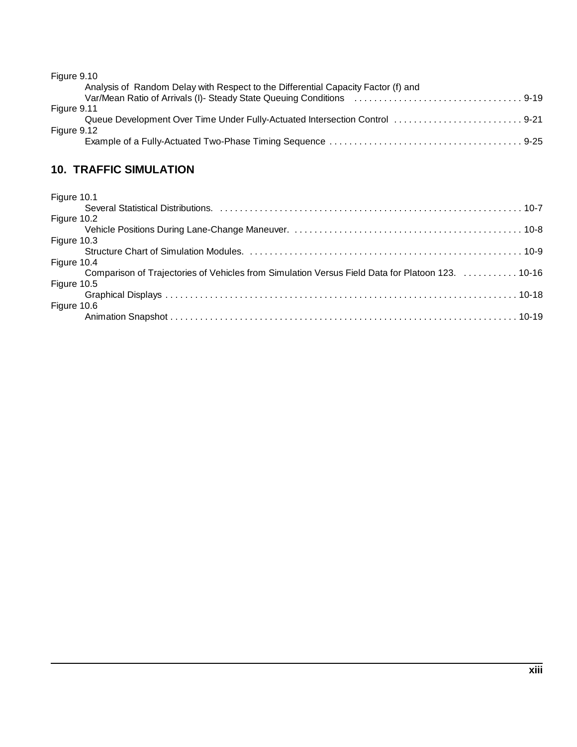| Figure 9.10                                                                       |
|-----------------------------------------------------------------------------------|
| Analysis of Random Delay with Respect to the Differential Capacity Factor (f) and |
|                                                                                   |
| Figure 9.11                                                                       |
| Queue Development Over Time Under Fully-Actuated Intersection Control  9-21       |
| Figure 9.12                                                                       |
|                                                                                   |

# **10. TRAFFIC SIMULATION**

| Figure 10.1                                                                                      |
|--------------------------------------------------------------------------------------------------|
|                                                                                                  |
| Figure 10.2                                                                                      |
|                                                                                                  |
| Figure 10.3                                                                                      |
|                                                                                                  |
| Figure 10.4                                                                                      |
| Comparison of Trajectories of Vehicles from Simulation Versus Field Data for Platoon 123.  10-16 |
| Figure 10.5                                                                                      |
|                                                                                                  |
| Figure 10.6                                                                                      |
|                                                                                                  |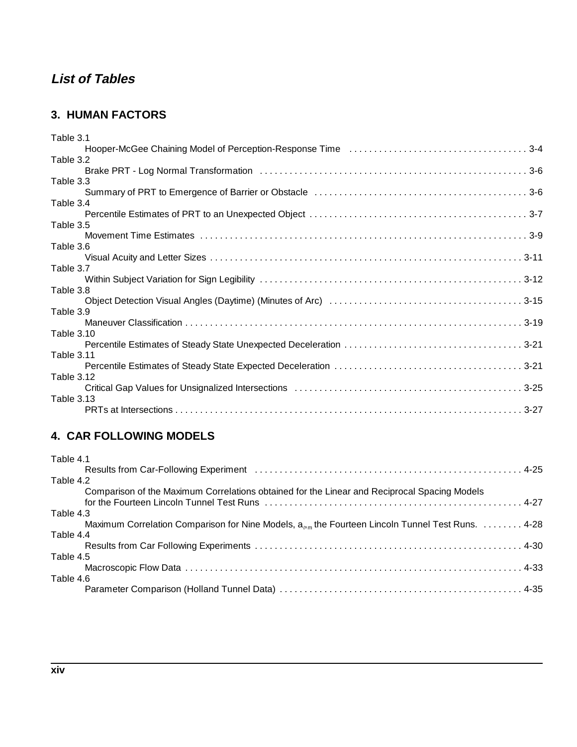# **List of Tables**

### **3. HUMAN FACTORS**

| Table 3.1  |  |
|------------|--|
|            |  |
| Table 3.2  |  |
|            |  |
| Table 3.3  |  |
|            |  |
| Table 3.4  |  |
|            |  |
| Table 3.5  |  |
|            |  |
| Table 3.6  |  |
|            |  |
| Table 3.7  |  |
|            |  |
| Table 3.8  |  |
|            |  |
| Table 3.9  |  |
|            |  |
| Table 3.10 |  |
|            |  |
| Table 3.11 |  |
|            |  |
| Table 3.12 |  |
|            |  |
| Table 3.13 |  |
|            |  |
|            |  |

## **4. CAR FOLLOWING MODELS**

| Table 4.1                                                                                             |
|-------------------------------------------------------------------------------------------------------|
| Results from Car-Following Experiment (and all contained according to the set of 4-25)                |
| Table 4.2                                                                                             |
| Comparison of the Maximum Correlations obtained for the Linear and Reciprocal Spacing Models          |
| Table 4.3                                                                                             |
| Maximum Correlation Comparison for Nine Models, $a_{n,m}$ the Fourteen Lincoln Tunnel Test Runs. 4-28 |
| Table 4.4                                                                                             |
|                                                                                                       |
| Table 4.5                                                                                             |
|                                                                                                       |
| Table 4.6                                                                                             |
|                                                                                                       |